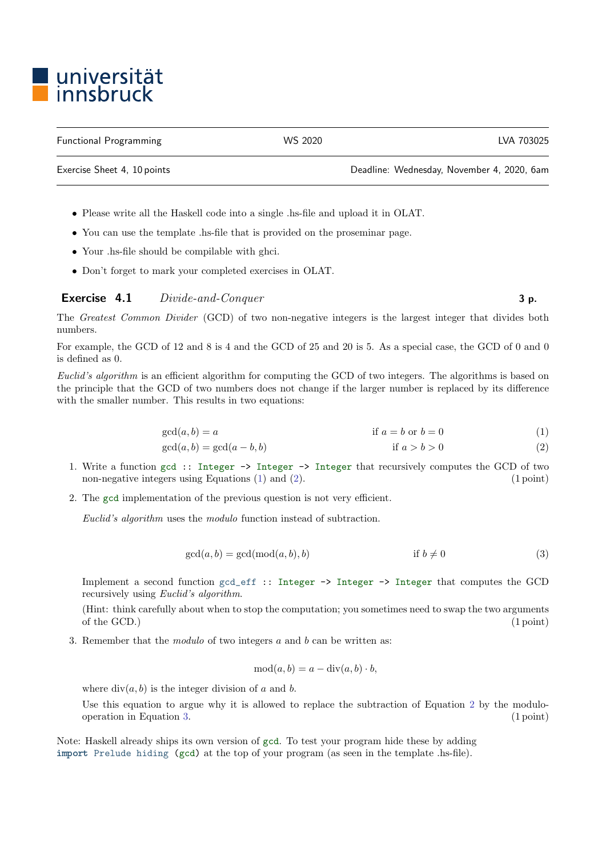## l universität<br>Linnsbruck

Functional Programming WS 2020 LVA 703025

Exercise Sheet 4, 10 points Deadline: Wednesday, November 4, 2020, 6am

- Please write all the Haskell code into a single .hs-file and upload it in OLAT.
- You can use the template .hs-file that is provided on the proseminar page.
- Your .hs-file should be compilable with ghci.
- Don't forget to mark your completed exercises in OLAT.

## Exercise 4.1 Divide-and-Conquer 3 p. 3 p.

The Greatest Common Divider (GCD) of two non-negative integers is the largest integer that divides both numbers.

For example, the GCD of 12 and 8 is 4 and the GCD of 25 and 20 is 5. As a special case, the GCD of 0 and 0 is defined as 0.

Euclid's algorithm is an efficient algorithm for computing the GCD of two integers. The algorithms is based on the principle that the GCD of two numbers does not change if the larger number is replaced by its difference with the smaller number. This results in two equations:

$$
\gcd(a, b) = a \qquad \qquad \text{if } a = b \text{ or } b = 0 \tag{1}
$$

$$
\gcd(a, b) = \gcd(a - b, b) \qquad \text{if } a > b > 0 \tag{2}
$$

- 1. Write a function gcd :: Integer -> Integer -> Integer that recursively computes the GCD of two non-negative integers using Equations [\(1\)](#page-0-0) and [\(2\)](#page-0-1). (1 point)
- 2. The gcd implementation of the previous question is not very efficient.

Euclid's algorithm uses the modulo function instead of subtraction.

$$
gcd(a, b) = gcd(mod(a, b), b)
$$
if  $b \neq 0$  (3)

Implement a second function gcd\_eff :: Integer -> Integer -> Integer that computes the GCD recursively using Euclid's algorithm.

(Hint: think carefully about when to stop the computation; you sometimes need to swap the two arguments of the GCD.) (1 point)

3. Remember that the *modulo* of two integers  $a$  and  $b$  can be written as:

$$
mod(a, b) = a - div(a, b) \cdot b,
$$

where  $div(a, b)$  is the integer division of a and b.

Use this equation to argue why it is allowed to replace the subtraction of Equation [2](#page-0-1) by the modulooperation in Equation [3.](#page-0-2) (1 point)

Note: Haskell already ships its own version of gcd. To test your program hide these by adding import Prelude hiding (gcd) at the top of your program (as seen in the template .hs-file).

<span id="page-0-2"></span><span id="page-0-1"></span><span id="page-0-0"></span>

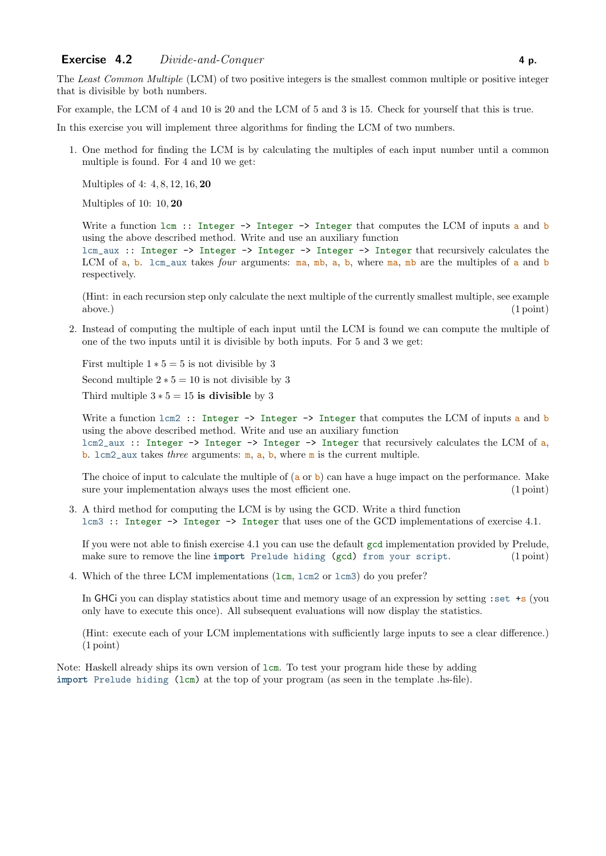## Exercise 4.2 Divide-and-Conquer 4 p.

The Least Common Multiple (LCM) of two positive integers is the smallest common multiple or positive integer that is divisible by both numbers.

For example, the LCM of 4 and 10 is 20 and the LCM of 5 and 3 is 15. Check for yourself that this is true.

In this exercise you will implement three algorithms for finding the LCM of two numbers.

1. One method for finding the LCM is by calculating the multiples of each input number until a common multiple is found. For 4 and 10 we get:

Multiples of 4: 4, 8, 12, 16, 20

Multiples of 10: 10, 20

Write a function  $lcm$  :: Integer -> Integer -> Integer that computes the LCM of inputs a and b using the above described method. Write and use an auxiliary function lcm\_aux :: Integer -> Integer -> Integer -> Integer -> Integer that recursively calculates the LCM of a, b. lcm\_aux takes *four* arguments: ma, mb, a, b, where ma, mb are the multiples of a and b respectively.

(Hint: in each recursion step only calculate the next multiple of the currently smallest multiple, see example above.) (1 point) and the contract of the contract of the contract of the contract of the contract of the contract of the contract of the contract of the contract of the contract of the contract of the contract of the cont

2. Instead of computing the multiple of each input until the LCM is found we can compute the multiple of one of the two inputs until it is divisible by both inputs. For 5 and 3 we get:

First multiple  $1 * 5 = 5$  is not divisible by 3 Second multiple  $2 * 5 = 10$  is not divisible by 3

Third multiple  $3 * 5 = 15$  is divisible by 3

Write a function  $lcm 2$ : Integer -> Integer -> Integer that computes the LCM of inputs a and b using the above described method. Write and use an auxiliary function lcm2\_aux :: Integer -> Integer -> Integer -> Integer that recursively calculates the LCM of a, b. lcm2\_aux takes three arguments: m, a, b, where m is the current multiple.

The choice of input to calculate the multiple of  $(a \text{ or } b)$  can have a huge impact on the performance. Make sure your implementation always uses the most efficient one. (1 point)

3. A third method for computing the LCM is by using the GCD. Write a third function lcm3 :: Integer -> Integer -> Integer that uses one of the GCD implementations of exercise 4.1.

If you were not able to finish exercise 4.1 you can use the default gcd implementation provided by Prelude, make sure to remove the line import Prelude hiding (gcd) from your script. (1 point)

4. Which of the three LCM implementations (lcm, lcm2 or lcm3) do you prefer?

In GHCi you can display statistics about time and memory usage of an expression by setting : set  $+s$  (you only have to execute this once). All subsequent evaluations will now display the statistics.

(Hint: execute each of your LCM implementations with sufficiently large inputs to see a clear difference.) (1 point)

Note: Haskell already ships its own version of lcm. To test your program hide these by adding import Prelude hiding (lcm) at the top of your program (as seen in the template .hs-file).